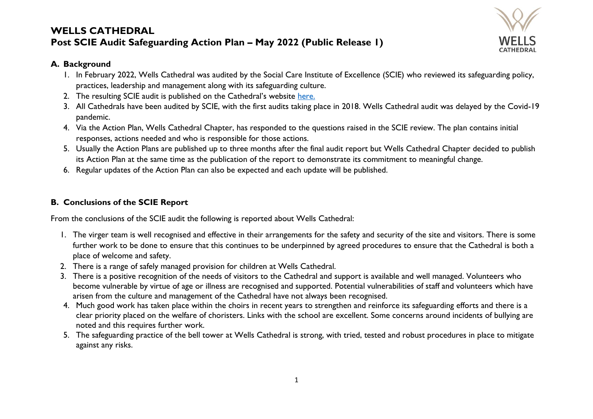

#### **A. Background**

- 1. In February 2022, Wells Cathedral was audited by the Social Care Institute of Excellence (SCIE) who reviewed its safeguarding policy, practices, leadership and management along with its safeguarding culture.
- 2. The resulting SCIE audit is published on the Cathedral's website [here.](https://www.wellscathedral.org.uk/wp-content/uploads/2022/05/Wells-Cathedral-Safeguarding-Audit-Report-24.05.22.pdf)
- 3. All Cathedrals have been audited by SCIE, with the first audits taking place in 2018. Wells Cathedral audit was delayed by the Covid-19 pandemic.
- 4. Via the Action Plan, Wells Cathedral Chapter, has responded to the questions raised in the SCIE review. The plan contains initial responses, actions needed and who is responsible for those actions.
- 5. Usually the Action Plans are published up to three months after the final audit report but Wells Cathedral Chapter decided to publish its Action Plan at the same time as the publication of the report to demonstrate its commitment to meaningful change.
- 6. Regular updates of the Action Plan can also be expected and each update will be published.

#### **B. Conclusions of the SCIE Report**

From the conclusions of the SCIE audit the following is reported about Wells Cathedral:

- 1. The virger team is well recognised and effective in their arrangements for the safety and security of the site and visitors. There is some further work to be done to ensure that this continues to be underpinned by agreed procedures to ensure that the Cathedral is both a place of welcome and safety.
- 2. There is a range of safely managed provision for children at Wells Cathedral.
- 3. There is a positive recognition of the needs of visitors to the Cathedral and support is available and well managed. Volunteers who become vulnerable by virtue of age or illness are recognised and supported. Potential vulnerabilities of staff and volunteers which have arisen from the culture and management of the Cathedral have not always been recognised.
- 4. Much good work has taken place within the choirs in recent years to strengthen and reinforce its safeguarding efforts and there is a clear priority placed on the welfare of choristers. Links with the school are excellent. Some concerns around incidents of bullying are noted and this requires further work.
- 5. The safeguarding practice of the bell tower at Wells Cathedral is strong, with tried, tested and robust procedures in place to mitigate against any risks.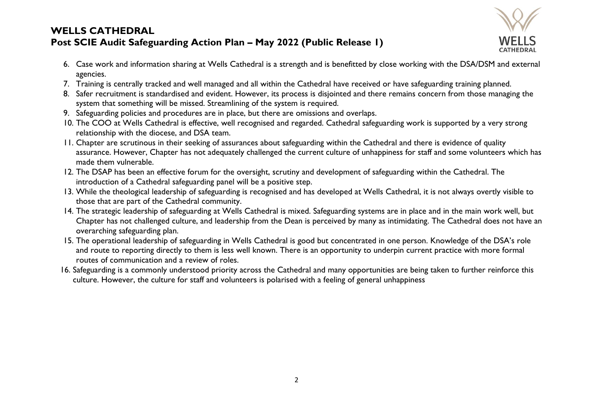

- 6. Case work and information sharing at Wells Cathedral is a strength and is benefitted by close working with the DSA/DSM and external agencies.
- 7. Training is centrally tracked and well managed and all within the Cathedral have received or have safeguarding training planned.
- 8. Safer recruitment is standardised and evident. However, its process is disjointed and there remains concern from those managing the system that something will be missed. Streamlining of the system is required.
- 9. Safeguarding policies and procedures are in place, but there are omissions and overlaps.
- 10. The COO at Wells Cathedral is effective, well recognised and regarded. Cathedral safeguarding work is supported by a very strong relationship with the diocese, and DSA team.
- 11. Chapter are scrutinous in their seeking of assurances about safeguarding within the Cathedral and there is evidence of quality assurance. However, Chapter has not adequately challenged the current culture of unhappiness for staff and some volunteers which has made them vulnerable.
- 12. The DSAP has been an effective forum for the oversight, scrutiny and development of safeguarding within the Cathedral. The introduction of a Cathedral safeguarding panel will be a positive step.
- 13. While the theological leadership of safeguarding is recognised and has developed at Wells Cathedral, it is not always overtly visible to those that are part of the Cathedral community.
- 14. The strategic leadership of safeguarding at Wells Cathedral is mixed. Safeguarding systems are in place and in the main work well, but Chapter has not challenged culture, and leadership from the Dean is perceived by many as intimidating. The Cathedral does not have an overarching safeguarding plan.
- 15. The operational leadership of safeguarding in Wells Cathedral is good but concentrated in one person. Knowledge of the DSA's role and route to reporting directly to them is less well known. There is an opportunity to underpin current practice with more formal routes of communication and a review of roles.
- 16. Safeguarding is a commonly understood priority across the Cathedral and many opportunities are being taken to further reinforce this culture. However, the culture for staff and volunteers is polarised with a feeling of general unhappiness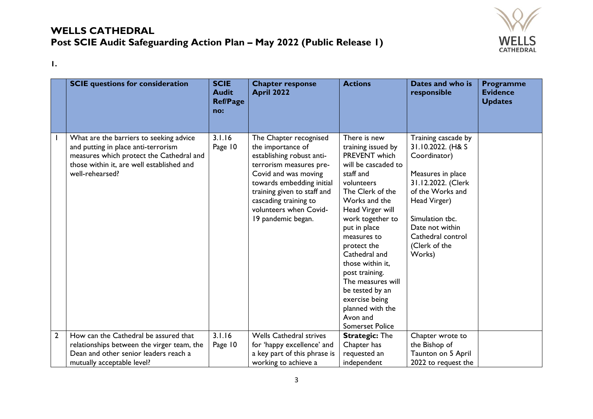

**1.**

|   | <b>SCIE</b> questions for consideration                                                                                                                                                    | <b>SCIE</b><br><b>Audit</b><br><b>Ref/Page</b><br>no: | <b>Chapter response</b><br><b>April 2022</b>                                                                                                                                                                                                                     | <b>Actions</b>                                                                                                                                                                                                                                                                                                                                                                                              | Dates and who is<br>responsible                                                                                                                                                                                               | <b>Programme</b><br><b>Evidence</b><br><b>Updates</b> |
|---|--------------------------------------------------------------------------------------------------------------------------------------------------------------------------------------------|-------------------------------------------------------|------------------------------------------------------------------------------------------------------------------------------------------------------------------------------------------------------------------------------------------------------------------|-------------------------------------------------------------------------------------------------------------------------------------------------------------------------------------------------------------------------------------------------------------------------------------------------------------------------------------------------------------------------------------------------------------|-------------------------------------------------------------------------------------------------------------------------------------------------------------------------------------------------------------------------------|-------------------------------------------------------|
|   | What are the barriers to seeking advice<br>and putting in place anti-terrorism<br>measures which protect the Cathedral and<br>those within it, are well established and<br>well-rehearsed? | 3.1.16<br>Page 10                                     | The Chapter recognised<br>the importance of<br>establishing robust anti-<br>terrorism measures pre-<br>Covid and was moving<br>towards embedding initial<br>training given to staff and<br>cascading training to<br>volunteers when Covid-<br>19 pandemic began. | There is new<br>training issued by<br>PREVENT which<br>will be cascaded to<br>staff and<br>volunteers<br>The Clerk of the<br>Works and the<br>Head Virger will<br>work together to<br>put in place<br>measures to<br>protect the<br>Cathedral and<br>those within it,<br>post training.<br>The measures will<br>be tested by an<br>exercise being<br>planned with the<br>Avon and<br><b>Somerset Police</b> | Training cascade by<br>31.10.2022. (H& S<br>Coordinator)<br>Measures in place<br>31.12.2022. (Clerk<br>of the Works and<br>Head Virger)<br>Simulation tbc.<br>Date not within<br>Cathedral control<br>(Clerk of the<br>Works) |                                                       |
| 2 | How can the Cathedral be assured that<br>relationships between the virger team, the<br>Dean and other senior leaders reach a<br>mutually acceptable level?                                 | 3.1.16<br>Page 10                                     | <b>Wells Cathedral strives</b><br>for 'happy excellence' and<br>a key part of this phrase is<br>working to achieve a                                                                                                                                             | <b>Strategic: The</b><br>Chapter has<br>requested an<br>independent                                                                                                                                                                                                                                                                                                                                         | Chapter wrote to<br>the Bishop of<br>Taunton on 5 April<br>2022 to request the                                                                                                                                                |                                                       |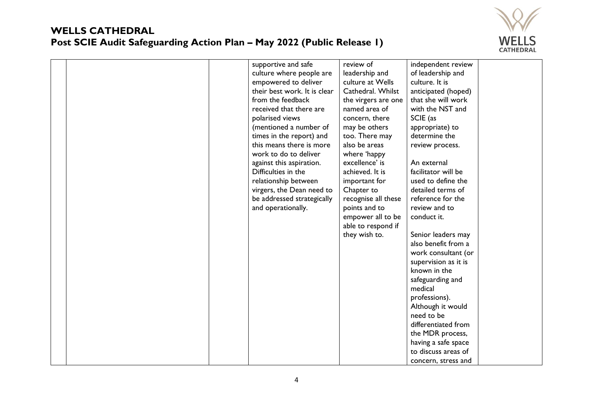

|  | supportive and safe          | review of           | independent review          |
|--|------------------------------|---------------------|-----------------------------|
|  | culture where people are     | leadership and      | of leadership and           |
|  |                              | culture at Wells    | culture. It is              |
|  | empowered to deliver         |                     |                             |
|  | their best work. It is clear | Cathedral. Whilst   | anticipated (hoped)         |
|  | from the feedback            | the virgers are one | that she will work          |
|  | received that there are      | named area of       | with the NST and            |
|  | polarised views              | concern, there      | SCIE (as                    |
|  | (mentioned a number of       | may be others       | appropriate) to             |
|  | times in the report) and     | too. There may      | determine the               |
|  | this means there is more     | also be areas       | review process.             |
|  | work to do to deliver        | where 'happy        |                             |
|  | against this aspiration.     | excellence' is      | An external                 |
|  | Difficulties in the          | achieved. It is     | facilitator will be         |
|  | relationship between         | important for       | used to define the          |
|  | virgers, the Dean need to    | Chapter to          | detailed terms of           |
|  | be addressed strategically   | recognise all these | reference for the           |
|  | and operationally.           | points and to       | review and to               |
|  |                              | empower all to be   | conduct it.                 |
|  |                              | able to respond if  |                             |
|  |                              | they wish to.       | Senior leaders may          |
|  |                              |                     | also benefit from a         |
|  |                              |                     | work consultant (or         |
|  |                              |                     | supervision as it is        |
|  |                              |                     | known in the                |
|  |                              |                     |                             |
|  |                              |                     | safeguarding and<br>medical |
|  |                              |                     |                             |
|  |                              |                     | professions).               |
|  |                              |                     | Although it would           |
|  |                              |                     | need to be                  |
|  |                              |                     | differentiated from         |
|  |                              |                     | the MDR process,            |
|  |                              |                     | having a safe space         |
|  |                              |                     | to discuss areas of         |
|  |                              |                     | concern, stress and         |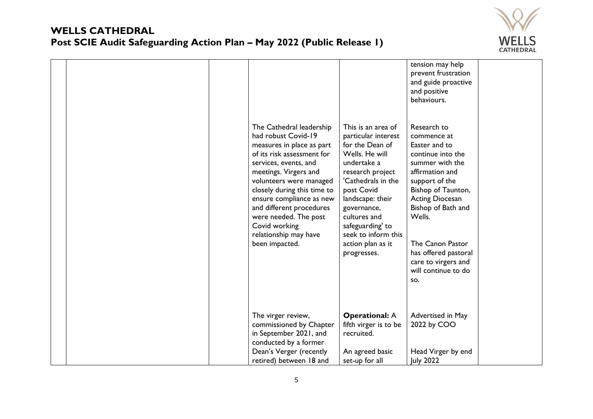

|  |                                                                                                                                                                                                                                                                                                                                                   |                                                                                                                                                                                                                                                     | tension may help<br>prevent frustration<br>and guide proactive<br>and positive<br>behaviours.                                                                                                            |  |
|--|---------------------------------------------------------------------------------------------------------------------------------------------------------------------------------------------------------------------------------------------------------------------------------------------------------------------------------------------------|-----------------------------------------------------------------------------------------------------------------------------------------------------------------------------------------------------------------------------------------------------|----------------------------------------------------------------------------------------------------------------------------------------------------------------------------------------------------------|--|
|  | The Cathedral leadership<br>had robust Covid-19<br>measures in place as part<br>of its risk assessment for<br>services, events, and<br>meetings. Virgers and<br>volunteers were managed<br>closely during this time to<br>ensure compliance as new<br>and different procedures<br>were needed. The post<br>Covid working<br>relationship may have | This is an area of<br>particular interest<br>for the Dean of<br>Wells. He will<br>undertake a<br>research project<br>'Cathedrals in the<br>post Covid<br>landscape: their<br>governance,<br>cultures and<br>safeguarding' to<br>seek to inform this | Research to<br>commence at<br>Easter and to<br>continue into the<br>summer with the<br>affirmation and<br>support of the<br>Bishop of Taunton,<br><b>Acting Diocesan</b><br>Bishop of Bath and<br>Wells. |  |
|  | been impacted.                                                                                                                                                                                                                                                                                                                                    | action plan as it<br>progresses.                                                                                                                                                                                                                    | The Canon Pastor<br>has offered pastoral<br>care to virgers and<br>will continue to do<br>SO.                                                                                                            |  |
|  | The virger review,<br>commissioned by Chapter                                                                                                                                                                                                                                                                                                     | <b>Operational: A</b><br>fifth virger is to be                                                                                                                                                                                                      | Advertised in May<br>2022 by COO                                                                                                                                                                         |  |
|  | in September 2021, and                                                                                                                                                                                                                                                                                                                            | recruited.                                                                                                                                                                                                                                          |                                                                                                                                                                                                          |  |
|  | conducted by a former<br>Dean's Verger (recently                                                                                                                                                                                                                                                                                                  | An agreed basic                                                                                                                                                                                                                                     | Head Virger by end                                                                                                                                                                                       |  |
|  | retired) between 18 and                                                                                                                                                                                                                                                                                                                           | set-up for all                                                                                                                                                                                                                                      | <b>July 2022</b>                                                                                                                                                                                         |  |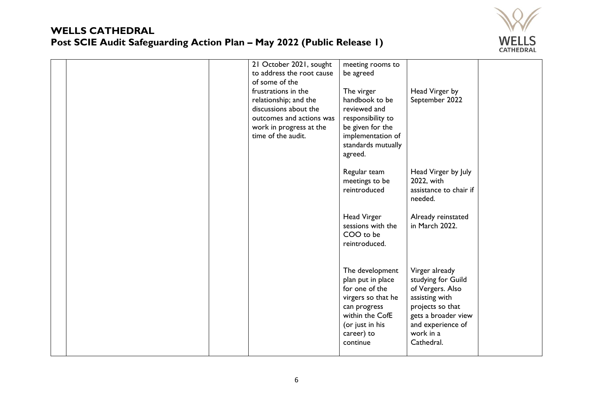

| 21 October 2021, sought<br>to address the root cause<br>of some of the<br>frustrations in the<br>relationship; and the<br>discussions about the<br>outcomes and actions was<br>work in progress at the<br>time of the audit. | meeting rooms to<br>be agreed<br>The virger<br>handbook to be<br>reviewed and<br>responsibility to<br>be given for the<br>implementation of<br>standards mutually<br>agreed. | Head Virger by<br>September 2022                                                                                                                                      |  |
|------------------------------------------------------------------------------------------------------------------------------------------------------------------------------------------------------------------------------|------------------------------------------------------------------------------------------------------------------------------------------------------------------------------|-----------------------------------------------------------------------------------------------------------------------------------------------------------------------|--|
|                                                                                                                                                                                                                              | Regular team<br>meetings to be<br>reintroduced                                                                                                                               | Head Virger by July<br>2022, with<br>assistance to chair if<br>needed.                                                                                                |  |
|                                                                                                                                                                                                                              | <b>Head Virger</b><br>sessions with the<br>COO to be<br>reintroduced.                                                                                                        | Already reinstated<br>in March 2022.                                                                                                                                  |  |
|                                                                                                                                                                                                                              | The development<br>plan put in place<br>for one of the<br>virgers so that he<br>can progress<br>within the CofE<br>(or just in his<br>career) to<br>continue                 | Virger already<br>studying for Guild<br>of Vergers. Also<br>assisting with<br>projects so that<br>gets a broader view<br>and experience of<br>work in a<br>Cathedral. |  |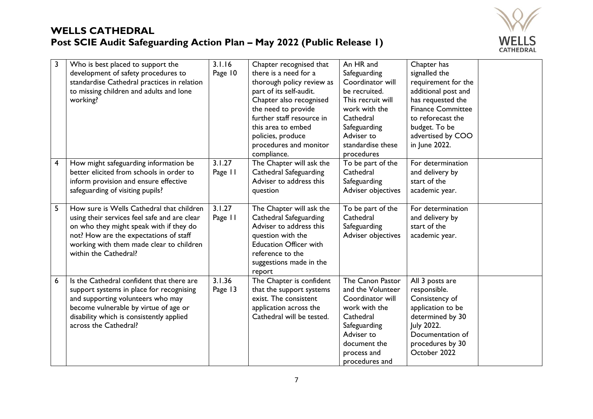

| 3                       | Who is best placed to support the<br>development of safety procedures to<br>standardise Cathedral practices in relation<br>to missing children and adults and lone<br>working?                                                                      | 3.1.16<br>Page 10 | Chapter recognised that<br>there is a need for a<br>thorough policy review as<br>part of its self-audit.<br>Chapter also recognised<br>the need to provide<br>further staff resource in<br>this area to embed<br>policies, produce<br>procedures and monitor<br>compliance. | An HR and<br>Safeguarding<br>Coordinator will<br>be recruited.<br>This recruit will<br>work with the<br>Cathedral<br>Safeguarding<br>Adviser to<br>standardise these<br>procedures | Chapter has<br>signalled the<br>requirement for the<br>additional post and<br>has requested the<br><b>Finance Committee</b><br>to reforecast the<br>budget. To be<br>advertised by COO<br>in June 2022. |  |
|-------------------------|-----------------------------------------------------------------------------------------------------------------------------------------------------------------------------------------------------------------------------------------------------|-------------------|-----------------------------------------------------------------------------------------------------------------------------------------------------------------------------------------------------------------------------------------------------------------------------|------------------------------------------------------------------------------------------------------------------------------------------------------------------------------------|---------------------------------------------------------------------------------------------------------------------------------------------------------------------------------------------------------|--|
| $\overline{\mathbf{4}}$ | How might safeguarding information be<br>better elicited from schools in order to<br>inform provision and ensure effective<br>safeguarding of visiting pupils?                                                                                      | 3.1.27<br>Page 11 | The Chapter will ask the<br>Cathedral Safeguarding<br>Adviser to address this<br>question                                                                                                                                                                                   | To be part of the<br>Cathedral<br>Safeguarding<br>Adviser objectives                                                                                                               | For determination<br>and delivery by<br>start of the<br>academic year.                                                                                                                                  |  |
| 5                       | How sure is Wells Cathedral that children<br>using their services feel safe and are clear<br>on who they might speak with if they do<br>not? How are the expectations of staff<br>working with them made clear to children<br>within the Cathedral? | 3.1.27<br>Page 11 | The Chapter will ask the<br>Cathedral Safeguarding<br>Adviser to address this<br>question with the<br><b>Education Officer with</b><br>reference to the<br>suggestions made in the<br>report                                                                                | To be part of the<br>Cathedral<br>Safeguarding<br>Adviser objectives                                                                                                               | For determination<br>and delivery by<br>start of the<br>academic year.                                                                                                                                  |  |
| 6                       | Is the Cathedral confident that there are<br>support systems in place for recognising<br>and supporting volunteers who may<br>become vulnerable by virtue of age or<br>disability which is consistently applied<br>across the Cathedral?            | 3.1.36<br>Page 13 | The Chapter is confident<br>that the support systems<br>exist. The consistent<br>application across the<br>Cathedral will be tested.                                                                                                                                        | The Canon Pastor<br>and the Volunteer<br>Coordinator will<br>work with the<br>Cathedral<br>Safeguarding<br>Adviser to<br>document the<br>process and<br>procedures and             | All 3 posts are<br>responsible.<br>Consistency of<br>application to be<br>determined by 30<br>July 2022.<br>Documentation of<br>procedures by 30<br>October 2022                                        |  |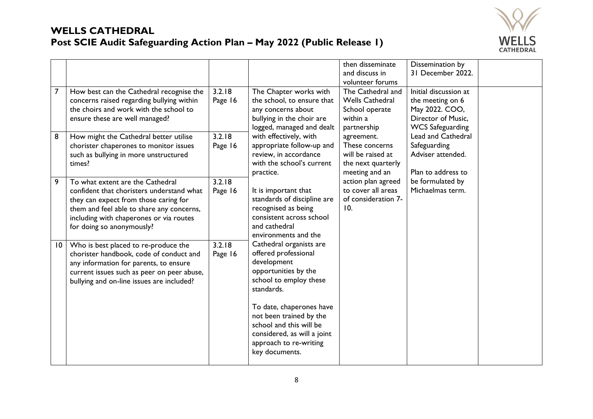

| $\overline{7}$ | How best can the Cathedral recognise the                                                                                                                                                                                                    | 3.2.18            | The Chapter works with                                                                                                                                                                                                                                                                      | then disseminate<br>and discuss in<br>volunteer forums<br>The Cathedral and               | Dissemination by<br>31 December 2022.<br>Initial discussion at                       |  |
|----------------|---------------------------------------------------------------------------------------------------------------------------------------------------------------------------------------------------------------------------------------------|-------------------|---------------------------------------------------------------------------------------------------------------------------------------------------------------------------------------------------------------------------------------------------------------------------------------------|-------------------------------------------------------------------------------------------|--------------------------------------------------------------------------------------|--|
|                | concerns raised regarding bullying within<br>the choirs and work with the school to<br>ensure these are well managed?                                                                                                                       | Page 16           | the school, to ensure that<br>any concerns about<br>bullying in the choir are<br>logged, managed and dealt                                                                                                                                                                                  | <b>Wells Cathedral</b><br>School operate<br>within a<br>partnership                       | the meeting on 6<br>May 2022. COO,<br>Director of Music.<br><b>WCS Safeguarding</b>  |  |
| 8              | How might the Cathedral better utilise<br>chorister chaperones to monitor issues<br>such as bullying in more unstructured<br>times?                                                                                                         | 3.2.18<br>Page 16 | with effectively, with<br>appropriate follow-up and<br>review, in accordance<br>with the school's current<br>practice.                                                                                                                                                                      | agreement.<br>These concerns<br>will be raised at<br>the next quarterly<br>meeting and an | <b>Lead and Cathedral</b><br>Safeguarding<br>Adviser attended.<br>Plan to address to |  |
| 9              | To what extent are the Cathedral<br>confident that choristers understand what<br>they can expect from those caring for<br>them and feel able to share any concerns,<br>including with chaperones or via routes<br>for doing so anonymously? | 3.2.18<br>Page 16 | It is important that<br>standards of discipline are<br>recognised as being<br>consistent across school<br>and cathedral<br>environments and the                                                                                                                                             | action plan agreed<br>to cover all areas<br>of consideration 7-<br>10.                    | be formulated by<br>Michaelmas term.                                                 |  |
| 10             | Who is best placed to re-produce the<br>chorister handbook, code of conduct and<br>any information for parents, to ensure<br>current issues such as peer on peer abuse,<br>bullying and on-line issues are included?                        | 3.2.18<br>Page 16 | Cathedral organists are<br>offered professional<br>development<br>opportunities by the<br>school to employ these<br>standards.<br>To date, chaperones have<br>not been trained by the<br>school and this will be<br>considered, as will a joint<br>approach to re-writing<br>key documents. |                                                                                           |                                                                                      |  |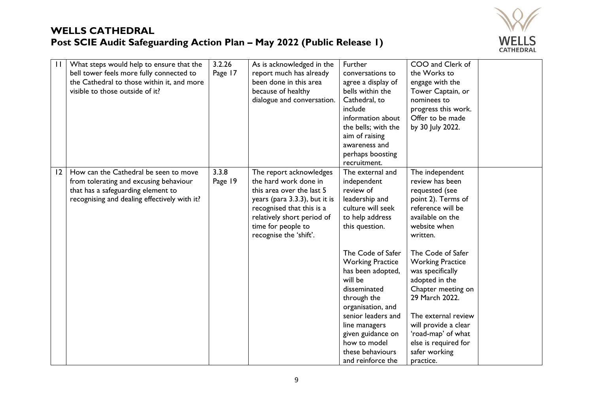

| $\mathbf{H}$ | What steps would help to ensure that the     | 3.2.26  | As is acknowledged in the     | Further                 | COO and Clerk of        |  |
|--------------|----------------------------------------------|---------|-------------------------------|-------------------------|-------------------------|--|
|              | bell tower feels more fully connected to     | Page 17 | report much has already       | conversations to        | the Works to            |  |
|              | the Cathedral to those within it, and more   |         | been done in this area        | agree a display of      | engage with the         |  |
|              | visible to those outside of it?              |         | because of healthy            | bells within the        | Tower Captain, or       |  |
|              |                                              |         | dialogue and conversation.    | Cathedral, to           | nominees to             |  |
|              |                                              |         |                               | include                 | progress this work.     |  |
|              |                                              |         |                               | information about       | Offer to be made        |  |
|              |                                              |         |                               | the bells; with the     | by 30 July 2022.        |  |
|              |                                              |         |                               | aim of raising          |                         |  |
|              |                                              |         |                               | awareness and           |                         |  |
|              |                                              |         |                               | perhaps boosting        |                         |  |
|              |                                              |         |                               | recruitment.            |                         |  |
| 12           | How can the Cathedral be seen to move        | 3.3.8   | The report acknowledges       | The external and        | The independent         |  |
|              | from tolerating and excusing behaviour       | Page 19 | the hard work done in         | independent             | review has been         |  |
|              | that has a safeguarding element to           |         | this area over the last 5     | review of               | requested (see          |  |
|              | recognising and dealing effectively with it? |         | years (para 3.3.3), but it is | leadership and          | point 2). Terms of      |  |
|              |                                              |         | recognised that this is a     | culture will seek       | reference will be       |  |
|              |                                              |         | relatively short period of    | to help address         | available on the        |  |
|              |                                              |         | time for people to            | this question.          | website when            |  |
|              |                                              |         | recognise the 'shift'.        |                         | written.                |  |
|              |                                              |         |                               |                         |                         |  |
|              |                                              |         |                               | The Code of Safer       | The Code of Safer       |  |
|              |                                              |         |                               | <b>Working Practice</b> | <b>Working Practice</b> |  |
|              |                                              |         |                               | has been adopted,       | was specifically        |  |
|              |                                              |         |                               | will be                 | adopted in the          |  |
|              |                                              |         |                               | disseminated            | Chapter meeting on      |  |
|              |                                              |         |                               | through the             | 29 March 2022.          |  |
|              |                                              |         |                               | organisation, and       |                         |  |
|              |                                              |         |                               | senior leaders and      | The external review     |  |
|              |                                              |         |                               | line managers           | will provide a clear    |  |
|              |                                              |         |                               | given guidance on       | 'road-map' of what      |  |
|              |                                              |         |                               | how to model            | else is required for    |  |
|              |                                              |         |                               | these behaviours        | safer working           |  |
|              |                                              |         |                               | and reinforce the       | practice.               |  |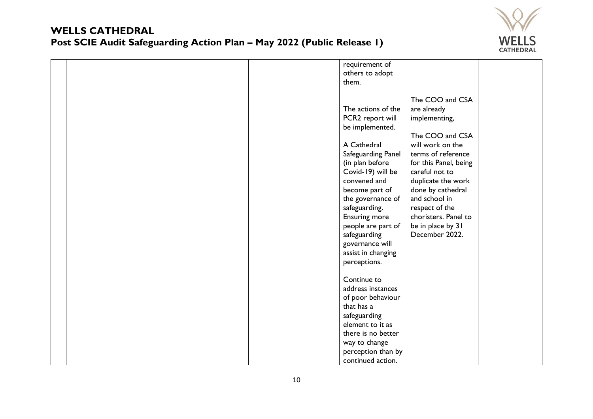

|  |  | requirement of       |                       |  |
|--|--|----------------------|-----------------------|--|
|  |  | others to adopt      |                       |  |
|  |  | them.                |                       |  |
|  |  |                      |                       |  |
|  |  |                      | The COO and CSA       |  |
|  |  | The actions of the   | are already           |  |
|  |  | PCR2 report will     | implementing,         |  |
|  |  | be implemented.      |                       |  |
|  |  |                      | The COO and CSA       |  |
|  |  | A Cathedral          | will work on the      |  |
|  |  |                      | terms of reference    |  |
|  |  | Safeguarding Panel   |                       |  |
|  |  | (in plan before      | for this Panel, being |  |
|  |  | Covid-19) will be    | careful not to        |  |
|  |  | convened and         | duplicate the work    |  |
|  |  | become part of       | done by cathedral     |  |
|  |  | the governance of    | and school in         |  |
|  |  | safeguarding.        | respect of the        |  |
|  |  | <b>Ensuring more</b> | choristers. Panel to  |  |
|  |  | people are part of   | be in place by 31     |  |
|  |  | safeguarding         | December 2022.        |  |
|  |  | governance will      |                       |  |
|  |  | assist in changing   |                       |  |
|  |  | perceptions.         |                       |  |
|  |  |                      |                       |  |
|  |  | Continue to          |                       |  |
|  |  | address instances    |                       |  |
|  |  | of poor behaviour    |                       |  |
|  |  | that has a           |                       |  |
|  |  | safeguarding         |                       |  |
|  |  | element to it as     |                       |  |
|  |  | there is no better   |                       |  |
|  |  | way to change        |                       |  |
|  |  | perception than by   |                       |  |
|  |  |                      |                       |  |
|  |  | continued action.    |                       |  |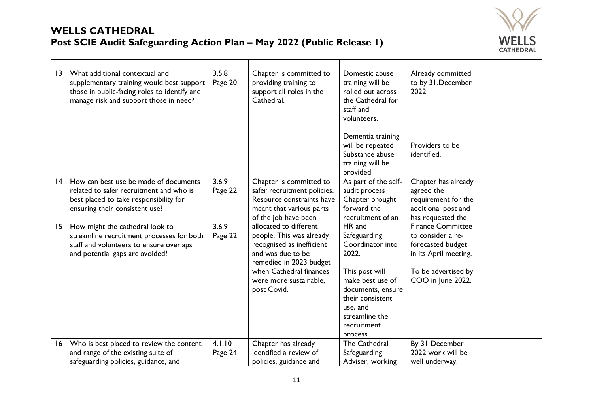

| 3  | What additional contextual and<br>supplementary training would best support<br>those in public-facing roles to identify and<br>manage risk and support those in need? | 3.5.8<br>Page 20  | Chapter is committed to<br>providing training to<br>support all roles in the<br>Cathedral.                                                                                                          | Domestic abuse<br>training will be<br>rolled out across<br>the Cathedral for<br>staff and<br>volunteers.<br>Dementia training<br>will be repeated<br>Substance abuse<br>training will be<br>provided | Already committed<br>to by 31. December<br>2022<br>Providers to be<br>identified.                                                       |  |
|----|-----------------------------------------------------------------------------------------------------------------------------------------------------------------------|-------------------|-----------------------------------------------------------------------------------------------------------------------------------------------------------------------------------------------------|------------------------------------------------------------------------------------------------------------------------------------------------------------------------------------------------------|-----------------------------------------------------------------------------------------------------------------------------------------|--|
| 4  | How can best use be made of documents<br>related to safer recruitment and who is<br>best placed to take responsibility for<br>ensuring their consistent use?          | 3.6.9<br>Page 22  | Chapter is committed to<br>safer recruitment policies.<br>Resource constraints have<br>meant that various parts<br>of the job have been                                                             | As part of the self-<br>audit process<br>Chapter brought<br>forward the<br>recruitment of an                                                                                                         | Chapter has already<br>agreed the<br>requirement for the<br>additional post and<br>has requested the                                    |  |
| 15 | How might the cathedral look to<br>streamline recruitment processes for both<br>staff and volunteers to ensure overlaps<br>and potential gaps are avoided?            | 3.6.9<br>Page 22  | allocated to different<br>people. This was already<br>recognised as inefficient<br>and was due to be<br>remedied in 2023 budget<br>when Cathedral finances<br>were more sustainable,<br>post Covid. | HR and<br>Safeguarding<br>Coordinator into<br>2022.<br>This post will<br>make best use of<br>documents, ensure<br>their consistent<br>use, and<br>streamline the<br>recruitment<br>process.          | <b>Finance Committee</b><br>to consider a re-<br>forecasted budget<br>in its April meeting.<br>To be advertised by<br>COO in June 2022. |  |
| 16 | Who is best placed to review the content<br>and range of the existing suite of<br>safeguarding policies, guidance, and                                                | 4.1.10<br>Page 24 | Chapter has already<br>identified a review of<br>policies, guidance and                                                                                                                             | The Cathedral<br>Safeguarding<br>Adviser, working                                                                                                                                                    | By 31 December<br>2022 work will be<br>well underway.                                                                                   |  |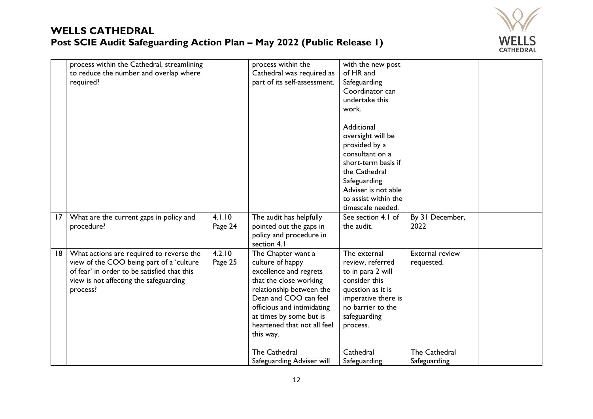

|    | process within the Cathedral, streamlining<br>to reduce the number and overlap where<br>required?                                                                                         |                   | process within the<br>Cathedral was required as<br>part of its self-assessment.                                                                                                                                                                                       | with the new post<br>of HR and<br>Safeguarding<br>Coordinator can<br>undertake this<br>work.                                                                                                    |                                                       |  |
|----|-------------------------------------------------------------------------------------------------------------------------------------------------------------------------------------------|-------------------|-----------------------------------------------------------------------------------------------------------------------------------------------------------------------------------------------------------------------------------------------------------------------|-------------------------------------------------------------------------------------------------------------------------------------------------------------------------------------------------|-------------------------------------------------------|--|
|    |                                                                                                                                                                                           |                   |                                                                                                                                                                                                                                                                       | Additional<br>oversight will be<br>provided by a<br>consultant on a<br>short-term basis if<br>the Cathedral<br>Safeguarding<br>Adviser is not able<br>to assist within the<br>timescale needed. |                                                       |  |
| 17 | What are the current gaps in policy and<br>procedure?                                                                                                                                     | 4.1.10<br>Page 24 | The audit has helpfully<br>pointed out the gaps in<br>policy and procedure in<br>section 4.1                                                                                                                                                                          | See section 4.1 of<br>the audit.                                                                                                                                                                | By 31 December,<br>2022                               |  |
| 18 | What actions are required to reverse the<br>view of the COO being part of a 'culture<br>of fear' in order to be satisfied that this<br>view is not affecting the safeguarding<br>process? | 4.2.10<br>Page 25 | The Chapter want a<br>culture of happy<br>excellence and regrets<br>that the close working<br>relationship between the<br>Dean and COO can feel<br>officious and intimidating<br>at times by some but is<br>heartened that not all feel<br>this way.<br>The Cathedral | The external<br>review, referred<br>to in para 2 will<br>consider this<br>question as it is<br>imperative there is<br>no barrier to the<br>safeguarding<br>process.<br>Cathedral                | <b>External review</b><br>requested.<br>The Cathedral |  |
|    |                                                                                                                                                                                           |                   | Safeguarding Adviser will                                                                                                                                                                                                                                             | Safeguarding                                                                                                                                                                                    | Safeguarding                                          |  |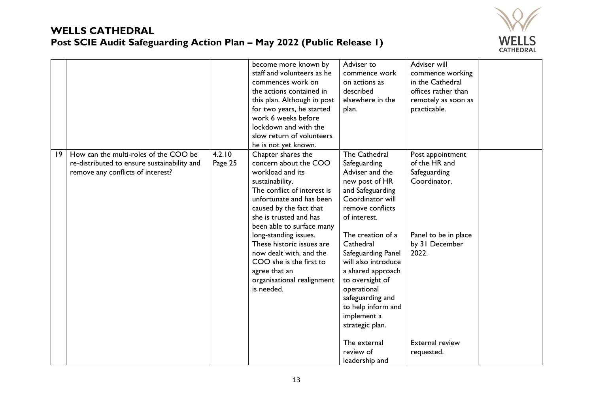

|   |                                                                                                                           |                   | become more known by<br>staff and volunteers as he<br>commences work on<br>the actions contained in<br>this plan. Although in post<br>for two years, he started<br>work 6 weeks before<br>lockdown and with the<br>slow return of volunteers<br>he is not yet known.                                                                                                                                     | Adviser to<br>commence work<br>on actions as<br>described<br>elsewhere in the<br>plan.                                                                                                                                                                                                                                                                                                                                 | Adviser will<br>commence working<br>in the Cathedral<br>offices rather than<br>remotely as soon as<br>practicable.                                           |  |
|---|---------------------------------------------------------------------------------------------------------------------------|-------------------|----------------------------------------------------------------------------------------------------------------------------------------------------------------------------------------------------------------------------------------------------------------------------------------------------------------------------------------------------------------------------------------------------------|------------------------------------------------------------------------------------------------------------------------------------------------------------------------------------------------------------------------------------------------------------------------------------------------------------------------------------------------------------------------------------------------------------------------|--------------------------------------------------------------------------------------------------------------------------------------------------------------|--|
| 9 | How can the multi-roles of the COO be<br>re-distributed to ensure sustainability and<br>remove any conflicts of interest? | 4.2.10<br>Page 25 | Chapter shares the<br>concern about the COO<br>workload and its<br>sustainability.<br>The conflict of interest is<br>unfortunate and has been<br>caused by the fact that<br>she is trusted and has<br>been able to surface many<br>long-standing issues.<br>These historic issues are<br>now dealt with, and the<br>COO she is the first to<br>agree that an<br>organisational realignment<br>is needed. | <b>The Cathedral</b><br>Safeguarding<br>Adviser and the<br>new post of HR<br>and Safeguarding<br>Coordinator will<br>remove conflicts<br>of interest.<br>The creation of a<br>Cathedral<br>Safeguarding Panel<br>will also introduce<br>a shared approach<br>to oversight of<br>operational<br>safeguarding and<br>to help inform and<br>implement a<br>strategic plan.<br>The external<br>review of<br>leadership and | Post appointment<br>of the HR and<br>Safeguarding<br>Coordinator.<br>Panel to be in place<br>by 31 December<br>2022.<br><b>External review</b><br>requested. |  |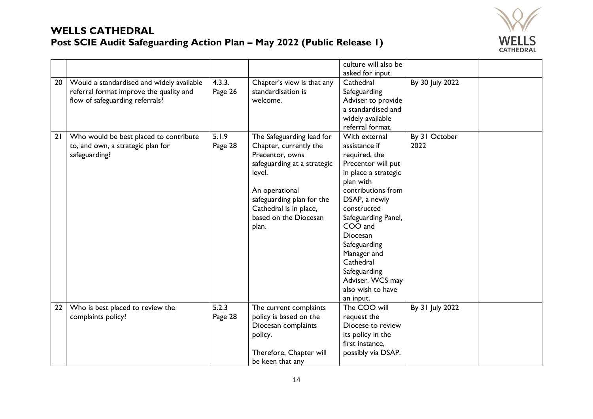

|          |                                                                                                                                                                                                                         |                                       |                                                                                                                                                                                                                                                                                            | culture will also be                                                                                                                                                                                                                                                                                                                                                                            |                                          |  |
|----------|-------------------------------------------------------------------------------------------------------------------------------------------------------------------------------------------------------------------------|---------------------------------------|--------------------------------------------------------------------------------------------------------------------------------------------------------------------------------------------------------------------------------------------------------------------------------------------|-------------------------------------------------------------------------------------------------------------------------------------------------------------------------------------------------------------------------------------------------------------------------------------------------------------------------------------------------------------------------------------------------|------------------------------------------|--|
|          |                                                                                                                                                                                                                         |                                       |                                                                                                                                                                                                                                                                                            |                                                                                                                                                                                                                                                                                                                                                                                                 |                                          |  |
| 20<br>21 | Would a standardised and widely available<br>referral format improve the quality and<br>flow of safeguarding referrals?<br>Who would be best placed to contribute<br>to, and own, a strategic plan for<br>safeguarding? | 4.3.3.<br>Page 26<br>5.1.9<br>Page 28 | Chapter's view is that any<br>standardisation is<br>welcome.<br>The Safeguarding lead for<br>Chapter, currently the<br>Precentor, owns<br>safeguarding at a strategic<br>level.<br>An operational<br>safeguarding plan for the<br>Cathedral is in place,<br>based on the Diocesan<br>plan. | asked for input.<br>Cathedral<br>Safeguarding<br>Adviser to provide<br>a standardised and<br>widely available<br>referral format,<br>With external<br>assistance if<br>required, the<br>Precentor will put<br>in place a strategic<br>plan with<br>contributions from<br>DSAP, a newly<br>constructed<br>Safeguarding Panel,<br>COO and<br>Diocesan<br>Safeguarding<br>Manager and<br>Cathedral | By 30 July 2022<br>By 31 October<br>2022 |  |
|          |                                                                                                                                                                                                                         |                                       |                                                                                                                                                                                                                                                                                            | Safeguarding<br>Adviser. WCS may<br>also wish to have                                                                                                                                                                                                                                                                                                                                           |                                          |  |
|          |                                                                                                                                                                                                                         |                                       |                                                                                                                                                                                                                                                                                            | an input.                                                                                                                                                                                                                                                                                                                                                                                       |                                          |  |
| 22       | Who is best placed to review the                                                                                                                                                                                        | 5.2.3                                 | The current complaints                                                                                                                                                                                                                                                                     | The COO will                                                                                                                                                                                                                                                                                                                                                                                    | By 31 July 2022                          |  |
|          | complaints policy?                                                                                                                                                                                                      | Page 28                               | policy is based on the                                                                                                                                                                                                                                                                     | request the                                                                                                                                                                                                                                                                                                                                                                                     |                                          |  |
|          |                                                                                                                                                                                                                         |                                       | Diocesan complaints                                                                                                                                                                                                                                                                        | Diocese to review                                                                                                                                                                                                                                                                                                                                                                               |                                          |  |
|          |                                                                                                                                                                                                                         |                                       | policy.                                                                                                                                                                                                                                                                                    | its policy in the                                                                                                                                                                                                                                                                                                                                                                               |                                          |  |
|          |                                                                                                                                                                                                                         |                                       |                                                                                                                                                                                                                                                                                            | first instance,                                                                                                                                                                                                                                                                                                                                                                                 |                                          |  |
|          |                                                                                                                                                                                                                         |                                       | Therefore, Chapter will                                                                                                                                                                                                                                                                    | possibly via DSAP.                                                                                                                                                                                                                                                                                                                                                                              |                                          |  |
|          |                                                                                                                                                                                                                         |                                       | be keen that any                                                                                                                                                                                                                                                                           |                                                                                                                                                                                                                                                                                                                                                                                                 |                                          |  |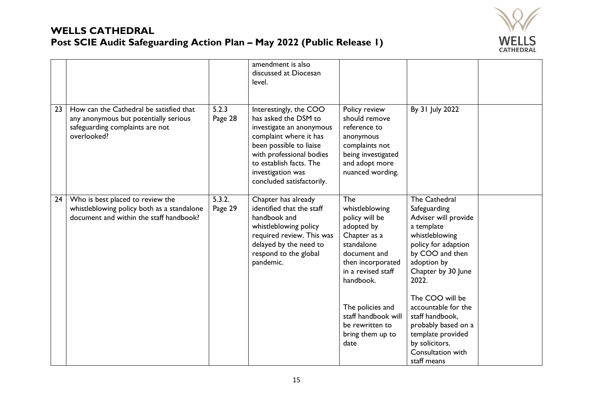

|    |                                                                                                                                    |                   | amendment is also<br>discussed at Diocesan<br>level.                                                                                                                                                                                     |                                                                                                                                                                                                                                                       |                                                                                                                                                                                                                                                                                                                                                     |  |
|----|------------------------------------------------------------------------------------------------------------------------------------|-------------------|------------------------------------------------------------------------------------------------------------------------------------------------------------------------------------------------------------------------------------------|-------------------------------------------------------------------------------------------------------------------------------------------------------------------------------------------------------------------------------------------------------|-----------------------------------------------------------------------------------------------------------------------------------------------------------------------------------------------------------------------------------------------------------------------------------------------------------------------------------------------------|--|
| 23 | How can the Cathedral be satisfied that<br>any anonymous but potentially serious<br>safeguarding complaints are not<br>overlooked? | 5.2.3<br>Page 28  | Interestingly, the COO<br>has asked the DSM to<br>investigate an anonymous<br>complaint where it has<br>been possible to liaise<br>with professional bodies<br>to establish facts. The<br>investigation was<br>concluded satisfactorily. | Policy review<br>should remove<br>reference to<br>anonymous<br>complaints not<br>being investigated<br>and adopt more<br>nuanced wording.                                                                                                             | By 31 July 2022                                                                                                                                                                                                                                                                                                                                     |  |
| 24 | Who is best placed to review the<br>whistleblowing policy both as a standalone<br>document and within the staff handbook?          | 5.3.2.<br>Page 29 | Chapter has already<br>identified that the staff<br>handbook and<br>whistleblowing policy<br>required review. This was<br>delayed by the need to<br>respond to the global<br>pandemic.                                                   | The<br>whistleblowing<br>policy will be<br>adopted by<br>Chapter as a<br>standalone<br>document and<br>then incorporated<br>in a revised staff<br>handbook.<br>The policies and<br>staff handbook will<br>be rewritten to<br>bring them up to<br>date | <b>The Cathedral</b><br>Safeguarding<br>Adviser will provide<br>a template<br>whistleblowing<br>policy for adaption<br>by COO and then<br>adoption by<br>Chapter by 30 June<br>2022.<br>The COO will be<br>accountable for the<br>staff handbook,<br>probably based on a<br>template provided<br>by solicitors.<br>Consultation with<br>staff means |  |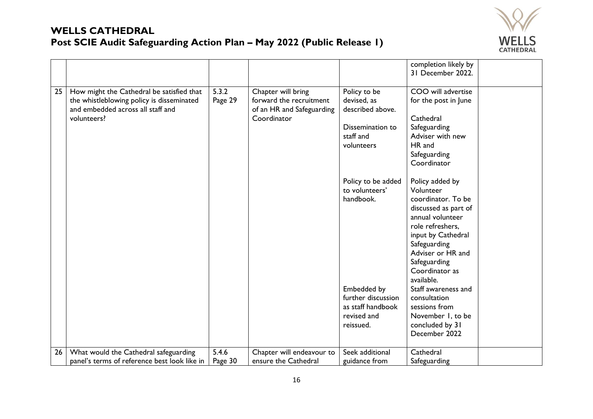

|    |                                              |         |                           |                    | completion likely by |  |
|----|----------------------------------------------|---------|---------------------------|--------------------|----------------------|--|
|    |                                              |         |                           |                    | 31 December 2022.    |  |
|    |                                              |         |                           |                    |                      |  |
| 25 | How might the Cathedral be satisfied that    | 5.3.2   | Chapter will bring        | Policy to be       | COO will advertise   |  |
|    | the whistleblowing policy is disseminated    | Page 29 | forward the recruitment   | devised, as        | for the post in June |  |
|    | and embedded across all staff and            |         | of an HR and Safeguarding | described above.   |                      |  |
|    | volunteers?                                  |         | Coordinator               |                    | Cathedral            |  |
|    |                                              |         |                           | Dissemination to   | Safeguarding         |  |
|    |                                              |         |                           | staff and          | Adviser with new     |  |
|    |                                              |         |                           | volunteers         | HR and               |  |
|    |                                              |         |                           |                    | Safeguarding         |  |
|    |                                              |         |                           |                    | Coordinator          |  |
|    |                                              |         |                           |                    |                      |  |
|    |                                              |         |                           | Policy to be added | Policy added by      |  |
|    |                                              |         |                           | to volunteers'     | Volunteer            |  |
|    |                                              |         |                           | handbook.          | coordinator. To be   |  |
|    |                                              |         |                           |                    | discussed as part of |  |
|    |                                              |         |                           |                    | annual volunteer     |  |
|    |                                              |         |                           |                    | role refreshers,     |  |
|    |                                              |         |                           |                    | input by Cathedral   |  |
|    |                                              |         |                           |                    | Safeguarding         |  |
|    |                                              |         |                           |                    | Adviser or HR and    |  |
|    |                                              |         |                           |                    | Safeguarding         |  |
|    |                                              |         |                           |                    | Coordinator as       |  |
|    |                                              |         |                           |                    | available.           |  |
|    |                                              |         |                           | Embedded by        | Staff awareness and  |  |
|    |                                              |         |                           | further discussion | consultation         |  |
|    |                                              |         |                           | as staff handbook  | sessions from        |  |
|    |                                              |         |                           | revised and        | November 1, to be    |  |
|    |                                              |         |                           | reissued.          | concluded by 31      |  |
|    |                                              |         |                           |                    | December 2022        |  |
| 26 | What would the Cathedral safeguarding        | 5.4.6   | Chapter will endeavour to | Seek additional    | Cathedral            |  |
|    | panel's terms of reference best look like in | Page 30 | ensure the Cathedral      | guidance from      | Safeguarding         |  |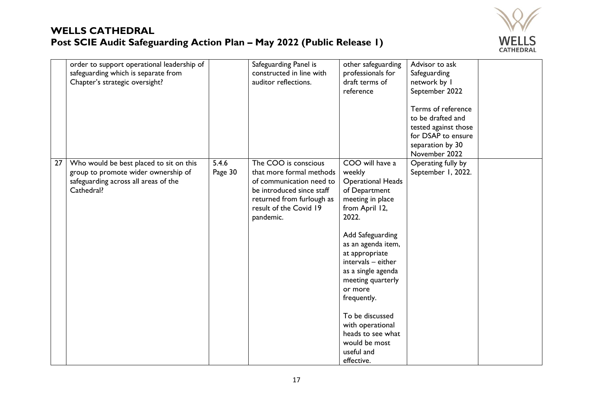

|    | order to support operational leadership of<br>safeguarding which is separate from<br>Chapter's strategic oversight?                  |                  | Safeguarding Panel is<br>constructed in line with<br>auditor reflections.                                                                                                     | other safeguarding<br>professionals for<br>draft terms of<br>reference                                                                                                                                                                                                                                                                                                                | Advisor to ask<br>Safeguarding<br>network by I<br>September 2022<br>Terms of reference<br>to be drafted and<br>tested against those<br>for DSAP to ensure<br>separation by 30<br>November 2022 |  |
|----|--------------------------------------------------------------------------------------------------------------------------------------|------------------|-------------------------------------------------------------------------------------------------------------------------------------------------------------------------------|---------------------------------------------------------------------------------------------------------------------------------------------------------------------------------------------------------------------------------------------------------------------------------------------------------------------------------------------------------------------------------------|------------------------------------------------------------------------------------------------------------------------------------------------------------------------------------------------|--|
| 27 | Who would be best placed to sit on this<br>group to promote wider ownership of<br>safeguarding across all areas of the<br>Cathedral? | 5.4.6<br>Page 30 | The COO is conscious<br>that more formal methods<br>of communication need to<br>be introduced since staff<br>returned from furlough as<br>result of the Covid 19<br>pandemic. | COO will have a<br>weekly<br><b>Operational Heads</b><br>of Department<br>meeting in place<br>from April 12,<br>2022.<br>Add Safeguarding<br>as an agenda item,<br>at appropriate<br>intervals - either<br>as a single agenda<br>meeting quarterly<br>or more<br>frequently.<br>To be discussed<br>with operational<br>heads to see what<br>would be most<br>useful and<br>effective. | Operating fully by<br>September 1, 2022.                                                                                                                                                       |  |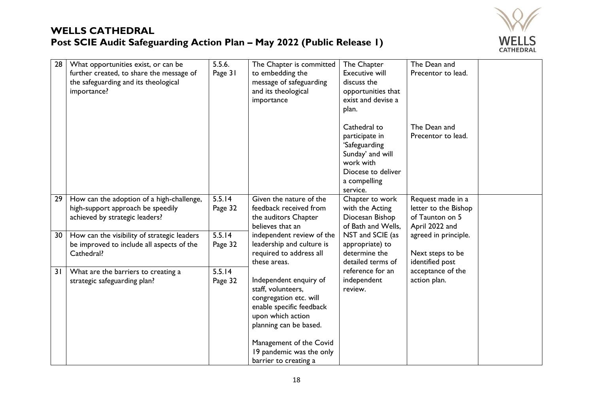

| 28 | What opportunities exist, or can be<br>further created, to share the message of<br>the safeguarding and its theological<br>importance? | 5.5.6.<br>Page 31 | The Chapter is committed<br>to embedding the<br>message of safeguarding<br>and its theological<br>importance                                                                 | The Chapter<br><b>Executive will</b><br>discuss the<br>opportunities that<br>exist and devise a<br>plan.                           | The Dean and<br>Precentor to lead.                                             |
|----|----------------------------------------------------------------------------------------------------------------------------------------|-------------------|------------------------------------------------------------------------------------------------------------------------------------------------------------------------------|------------------------------------------------------------------------------------------------------------------------------------|--------------------------------------------------------------------------------|
|    |                                                                                                                                        |                   |                                                                                                                                                                              | Cathedral to<br>participate in<br>'Safeguarding<br>Sunday' and will<br>work with<br>Diocese to deliver<br>a compelling<br>service. | The Dean and<br>Precentor to lead.                                             |
| 29 | How can the adoption of a high-challenge,<br>high-support approach be speedily<br>achieved by strategic leaders?                       | 5.5.14<br>Page 32 | Given the nature of the<br>feedback received from<br>the auditors Chapter<br>believes that an                                                                                | Chapter to work<br>with the Acting<br>Diocesan Bishop<br>of Bath and Wells,                                                        | Request made in a<br>letter to the Bishop<br>of Taunton on 5<br>April 2022 and |
| 30 | How can the visibility of strategic leaders<br>be improved to include all aspects of the<br>Cathedral?                                 | 5.5.14<br>Page 32 | independent review of the<br>leadership and culture is<br>required to address all<br>these areas.                                                                            | NST and SCIE (as<br>appropriate) to<br>determine the<br>detailed terms of                                                          | agreed in principle.<br>Next steps to be<br>identified post                    |
| 31 | What are the barriers to creating a<br>strategic safeguarding plan?                                                                    | 5.5.14<br>Page 32 | Independent enquiry of<br>staff, volunteers,<br>congregation etc. will<br>enable specific feedback<br>upon which action<br>planning can be based.<br>Management of the Covid | reference for an<br>independent<br>review.                                                                                         | acceptance of the<br>action plan.                                              |
|    |                                                                                                                                        |                   | 19 pandemic was the only<br>barrier to creating a                                                                                                                            |                                                                                                                                    |                                                                                |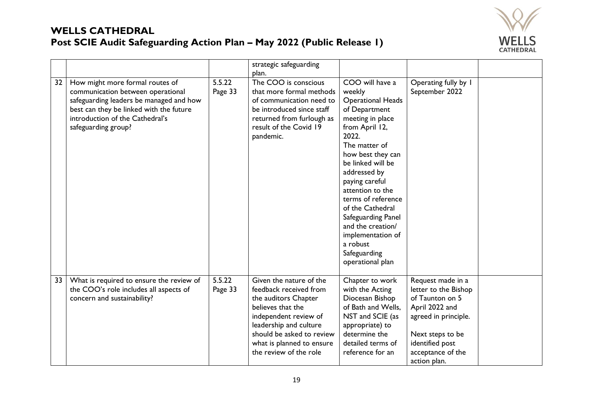

|    |                                                                                                                                                                                                                      |                   | strategic safeguarding<br>plan.                                                                                                                                                                                                       |                                                                                                                                                                                                                                                                                                                                                                                                  |                                                                                                                                                                                    |  |
|----|----------------------------------------------------------------------------------------------------------------------------------------------------------------------------------------------------------------------|-------------------|---------------------------------------------------------------------------------------------------------------------------------------------------------------------------------------------------------------------------------------|--------------------------------------------------------------------------------------------------------------------------------------------------------------------------------------------------------------------------------------------------------------------------------------------------------------------------------------------------------------------------------------------------|------------------------------------------------------------------------------------------------------------------------------------------------------------------------------------|--|
| 32 | How might more formal routes of<br>communication between operational<br>safeguarding leaders be managed and how<br>best can they be linked with the future<br>introduction of the Cathedral's<br>safeguarding group? | 5.5.22<br>Page 33 | The COO is conscious<br>that more formal methods<br>of communication need to<br>be introduced since staff<br>returned from furlough as<br>result of the Covid 19<br>pandemic.                                                         | COO will have a<br>weekly<br><b>Operational Heads</b><br>of Department<br>meeting in place<br>from April 12,<br>2022.<br>The matter of<br>how best they can<br>be linked will be<br>addressed by<br>paying careful<br>attention to the<br>terms of reference<br>of the Cathedral<br>Safeguarding Panel<br>and the creation/<br>implementation of<br>a robust<br>Safeguarding<br>operational plan | Operating fully by I<br>September 2022                                                                                                                                             |  |
| 33 | What is required to ensure the review of<br>the COO's role includes all aspects of<br>concern and sustainability?                                                                                                    | 5.5.22<br>Page 33 | Given the nature of the<br>feedback received from<br>the auditors Chapter<br>believes that the<br>independent review of<br>leadership and culture<br>should be asked to review<br>what is planned to ensure<br>the review of the role | Chapter to work<br>with the Acting<br>Diocesan Bishop<br>of Bath and Wells,<br>NST and SCIE (as<br>appropriate) to<br>determine the<br>detailed terms of<br>reference for an                                                                                                                                                                                                                     | Request made in a<br>letter to the Bishop<br>of Taunton on 5<br>April 2022 and<br>agreed in principle.<br>Next steps to be<br>identified post<br>acceptance of the<br>action plan. |  |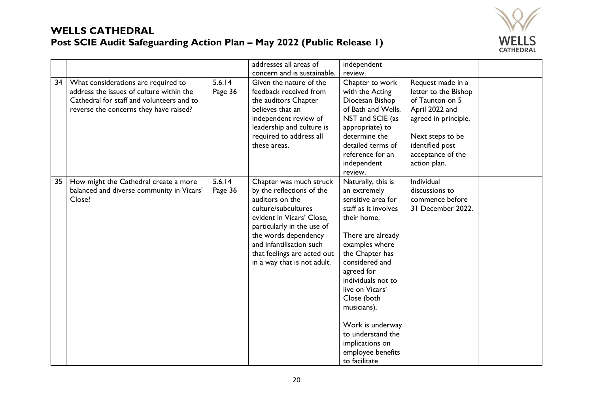

|    |                                                                                                                                                                        |                   | addresses all areas of                                                                                                                                                                                                                                                      | independent                                                                                                                                                                                                                                                                                                                                                        |                                                                                                                                                                                    |  |
|----|------------------------------------------------------------------------------------------------------------------------------------------------------------------------|-------------------|-----------------------------------------------------------------------------------------------------------------------------------------------------------------------------------------------------------------------------------------------------------------------------|--------------------------------------------------------------------------------------------------------------------------------------------------------------------------------------------------------------------------------------------------------------------------------------------------------------------------------------------------------------------|------------------------------------------------------------------------------------------------------------------------------------------------------------------------------------|--|
| 34 | What considerations are required to<br>address the issues of culture within the<br>Cathedral for staff and volunteers and to<br>reverse the concerns they have raised? | 5.6.14<br>Page 36 | concern and is sustainable.<br>Given the nature of the<br>feedback received from<br>the auditors Chapter<br>believes that an<br>independent review of<br>leadership and culture is<br>required to address all<br>these areas.                                               | review.<br>Chapter to work<br>with the Acting<br>Diocesan Bishop<br>of Bath and Wells.<br>NST and SCIE (as<br>appropriate) to<br>determine the<br>detailed terms of<br>reference for an<br>independent<br>review.                                                                                                                                                  | Request made in a<br>letter to the Bishop<br>of Taunton on 5<br>April 2022 and<br>agreed in principle.<br>Next steps to be<br>identified post<br>acceptance of the<br>action plan. |  |
| 35 | How might the Cathedral create a more<br>balanced and diverse community in Vicars'<br>Close?                                                                           | 5.6.14<br>Page 36 | Chapter was much struck<br>by the reflections of the<br>auditors on the<br>culture/subcultures<br>evident in Vicars' Close,<br>particularly in the use of<br>the words dependency<br>and infantilisation such<br>that feelings are acted out<br>in a way that is not adult. | Naturally, this is<br>an extremely<br>sensitive area for<br>staff as it involves<br>their home.<br>There are already<br>examples where<br>the Chapter has<br>considered and<br>agreed for<br>individuals not to<br>live on Vicars'<br>Close (both<br>musicians).<br>Work is underway<br>to understand the<br>implications on<br>employee benefits<br>to facilitate | Individual<br>discussions to<br>commence before<br>31 December 2022.                                                                                                               |  |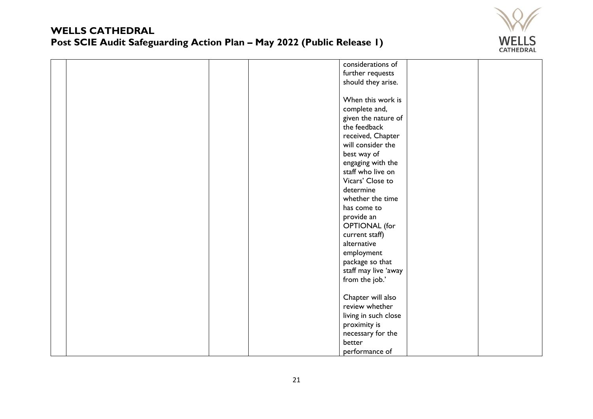

|  |  | considerations of    |  |  |
|--|--|----------------------|--|--|
|  |  | further requests     |  |  |
|  |  | should they arise.   |  |  |
|  |  |                      |  |  |
|  |  | When this work is    |  |  |
|  |  | complete and,        |  |  |
|  |  | given the nature of  |  |  |
|  |  | the feedback         |  |  |
|  |  | received, Chapter    |  |  |
|  |  | will consider the    |  |  |
|  |  | best way of          |  |  |
|  |  | engaging with the    |  |  |
|  |  | staff who live on    |  |  |
|  |  | Vicars' Close to     |  |  |
|  |  | determine            |  |  |
|  |  | whether the time     |  |  |
|  |  | has come to          |  |  |
|  |  | provide an           |  |  |
|  |  | <b>OPTIONAL</b> (for |  |  |
|  |  | current staff)       |  |  |
|  |  | alternative          |  |  |
|  |  | employment           |  |  |
|  |  | package so that      |  |  |
|  |  | staff may live 'away |  |  |
|  |  | from the job.'       |  |  |
|  |  |                      |  |  |
|  |  | Chapter will also    |  |  |
|  |  | review whether       |  |  |
|  |  | living in such close |  |  |
|  |  | proximity is         |  |  |
|  |  | necessary for the    |  |  |
|  |  | better               |  |  |
|  |  | performance of       |  |  |